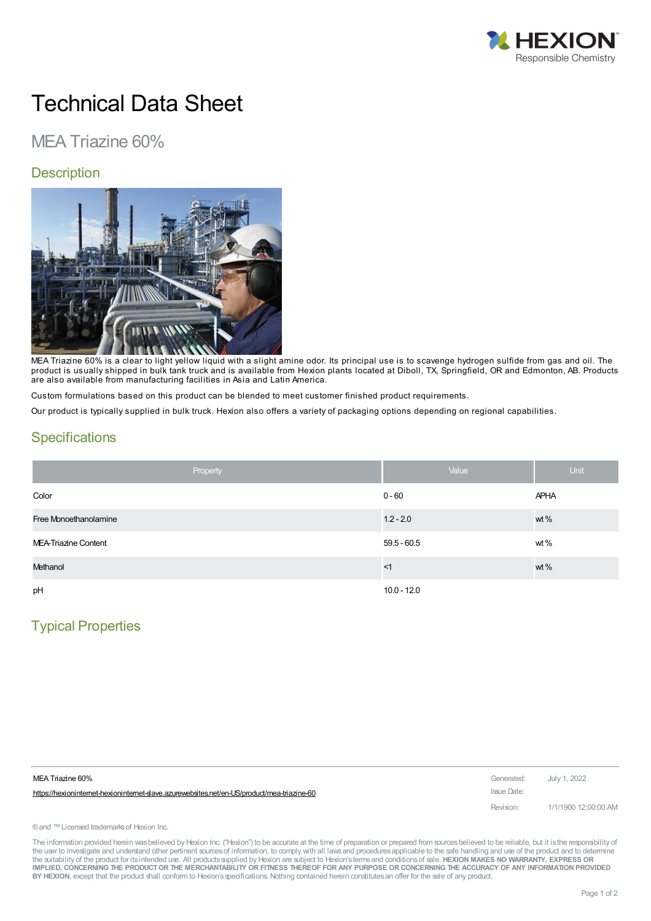

# Technical Data Sheet

# MEA Triazine 60%

#### **Description**



MEA Triazine 60% is a clear to light yellow liquid with a slight amine odor. Its principal use is to scavenge hydrogen sulfide from gas and oil. The product is usually shipped in bulk tank truck and is available from Hexion plants located at Diboll, TX, Springfield, OR and Edmonton, AB. Products are also available from manufacturing facilities in Asia and Latin America.

Custom formulations based on this product can be blended to meet customer finished product requirements.

Our product is typically supplied in bulk truck. Hexion also offers a variety of packaging options depending on regional capabilities.

#### **Specifications**

| Property              | Value         | <b>Unit</b> |
|-----------------------|---------------|-------------|
| Color                 | $0 - 60$      | <b>APHA</b> |
| Free Monoethanolamine | $1.2 - 2.0$   | wt %        |
| MEA-Triazine Content  | $59.5 - 60.5$ | wt $%$      |
| Methanol              | $<$ 1         | wt %        |
| pH                    | $10.0 - 12.0$ |             |

## Typical Properties

| MEA Triazine 60%                                                                          | Generated: July 1, 2022 |                      |
|-------------------------------------------------------------------------------------------|-------------------------|----------------------|
| https://hexionintemet-hexionintemet-slave.azurewebsites.net/en-US/product/mea-triazine-60 | Issue Date:             |                      |
|                                                                                           | Revision:               | 1/1/1900 12:00:00 AM |

® and ™ Licensed trademarks of Hexion Inc.

The information provided herein was believed by Hexion Inc. ("Hexion") to be accurate at the time of preparation or prepared from sources believed to be reliable, but it is the responsibility of the user to investigate and understand other pertinent sources of information, to comply with all laws and procedures applicable to the safe handling and use of the product and to determine the suitability of the product for itsintended use. All productssupplied by Hexion are subject to Hexion'stermsand conditionsof sale. **HEXION MAKES NO WARRANTY, EXPRESS OR** IMPLIED, CONCERNING THE PRODUCT OR THE MERCHANTABILITY OR FITNESS THEREOF FOR ANY PURPOSE OR CONCERNING THE ACCURACY OF ANY INFORMATION PROVIDED **BY HEXION**, except that the product shall conform to Hexion'sspecifications. Nothing contained herein constitutesan offer for the sale of any product.